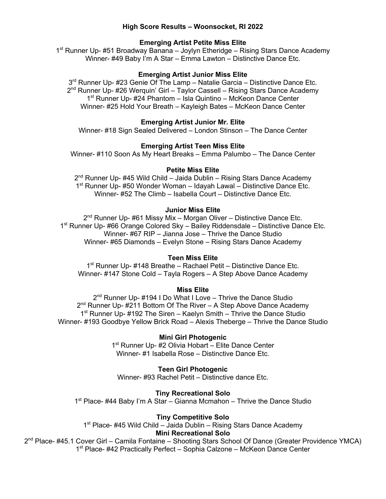## **High Score Results – Woonsocket, RI 2022**

# **Emerging Artist Petite Miss Elite**

1<sup>st</sup> Runner Up- #51 Broadway Banana – Joylyn Etheridge – Rising Stars Dance Academy Winner- #49 Baby I'm A Star – Emma Lawton – Distinctive Dance Etc.

## **Emerging Artist Junior Miss Elite**

3<sup>rd</sup> Runner Up- #23 Genie Of The Lamp – Natalie Garcia – Distinctive Dance Etc. 2<sup>nd</sup> Runner Up- #26 Werquin' Girl – Taylor Cassell – Rising Stars Dance Academy 1<sup>st</sup> Runner Up- #24 Phantom – Isla Quintino – McKeon Dance Center Winner- #25 Hold Your Breath – Kayleigh Bates – McKeon Dance Center

## **Emerging Artist Junior Mr. Elite**

Winner- #18 Sign Sealed Delivered – London Stinson – The Dance Center

## **Emerging Artist Teen Miss Elite**

Winner- #110 Soon As My Heart Breaks – Emma Palumbo – The Dance Center

## **Petite Miss Elite**

 $2^{nd}$  Runner Up- #45 Wild Child – Jaida Dublin – Rising Stars Dance Academy 1<sup>st</sup> Runner Up- #50 Wonder Woman – Idayah Lawal – Distinctive Dance Etc. Winner- #52 The Climb – Isabella Court – Distinctive Dance Etc.

## **Junior Miss Elite**

2<sup>nd</sup> Runner Up- #61 Missy Mix - Morgan Oliver - Distinctive Dance Etc. 1<sup>st</sup> Runner Up- #66 Orange Colored Sky – Bailey Riddensdale – Distinctive Dance Etc. Winner- #67 RIP – Jianna Jose – Thrive the Dance Studio Winner- #65 Diamonds – Evelyn Stone – Rising Stars Dance Academy

## **Teen Miss Elite**

1<sup>st</sup> Runner Up- #148 Breathe – Rachael Petit – Distinctive Dance Etc. Winner- #147 Stone Cold – Tayla Rogers – A Step Above Dance Academy

## **Miss Elite**

2<sup>nd</sup> Runner Up- #194 I Do What I Love - Thrive the Dance Studio  $2^{nd}$  Runner Up- #211 Bottom Of The River – A Step Above Dance Academy  $1<sup>st</sup>$  Runner Up- #192 The Siren – Kaelyn Smith – Thrive the Dance Studio Winner- #193 Goodbye Yellow Brick Road – Alexis Theberge – Thrive the Dance Studio

## **Mini Girl Photogenic**

1<sup>st</sup> Runner Up- #2 Olivia Hobart – Elite Dance Center Winner- #1 Isabella Rose – Distinctive Dance Etc.

**Teen Girl Photogenic**

Winner- #93 Rachel Petit – Distinctive dance Etc.

## **Tiny Recreational Solo**

 $1<sup>st</sup>$  Place- #44 Baby I'm A Star – Gianna Mcmahon – Thrive the Dance Studio

# **Tiny Competitive Solo**

 $1<sup>st</sup>$  Place- #45 Wild Child – Jaida Dublin – Rising Stars Dance Academy **Mini Recreational Solo**

2<sup>nd</sup> Place- #45.1 Cover Girl – Camila Fontaine – Shooting Stars School Of Dance (Greater Providence YMCA) 1<sup>st</sup> Place- #42 Practically Perfect – Sophia Calzone – McKeon Dance Center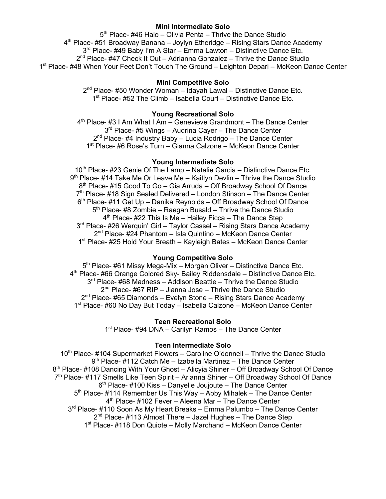## **Mini Intermediate Solo**

 $5<sup>th</sup>$  Place- #46 Halo – Olivia Penta – Thrive the Dance Studio  $4<sup>th</sup>$  Place- #51 Broadway Banana – Joylyn Etheridge – Rising Stars Dance Academy 3<sup>rd</sup> Place- #49 Baby I'm A Star – Emma Lawton – Distinctive Dance Etc.  $2^{nd}$  Place- #47 Check It Out – Adrianna Gonzalez – Thrive the Dance Studio 1st Place- #48 When Your Feet Don't Touch The Ground – Leighton Depari – McKeon Dance Center

## **Mini Competitive Solo**

2<sup>nd</sup> Place- #50 Wonder Woman – Idayah Lawal – Distinctive Dance Etc. 1<sup>st</sup> Place- #52 The Climb – Isabella Court – Distinctive Dance Etc.

## **Young Recreational Solo**

 $4<sup>th</sup>$  Place- #3 I Am What I Am – Genevieve Grandmont – The Dance Center 3<sup>rd</sup> Place- #5 Wings – Audrina Cayer – The Dance Center  $2^{nd}$  Place- #4 Industry Baby – Lucia Rodrigo – The Dance Center 1st Place- #6 Rose's Turn – Gianna Calzone – McKeon Dance Center

## **Young Intermediate Solo**

10<sup>th</sup> Place- #23 Genie Of The Lamp – Natalie Garcia – Distinctive Dance Etc.  $9<sup>th</sup>$  Place- #14 Take Me Or Leave Me – Kaitlyn Devlin – Thrive the Dance Studio 8<sup>th</sup> Place- #15 Good To Go – Gia Arruda – Off Broadway School Of Dance 7<sup>th</sup> Place- #18 Sign Sealed Delivered – London Stinson – The Dance Center  $6<sup>th</sup>$  Place- #11 Get Up – Danika Reynolds – Off Broadway School Of Dance  $5<sup>th</sup>$  Place- #8 Zombie – Raegan Busald – Thrive the Dance Studio  $4<sup>th</sup>$  Place- #22 This Is Me – Hailey Ficca – The Dance Step 3<sup>rd</sup> Place- #26 Werquin' Girl – Taylor Cassel – Rising Stars Dance Academy 2<sup>nd</sup> Place- #24 Phantom – Isla Quintino – McKeon Dance Center 1<sup>st</sup> Place- #25 Hold Your Breath – Kayleigh Bates – McKeon Dance Center

# **Young Competitive Solo**

5<sup>th</sup> Place- #61 Missy Mega-Mix – Morgan Oliver – Distinctive Dance Etc. 4<sup>th</sup> Place- #66 Orange Colored Sky- Bailey Riddensdale - Distinctive Dance Etc.  $3<sup>rd</sup>$  Place- #68 Madness – Addison Beattie – Thrive the Dance Studio  $2<sup>nd</sup>$  Place- #67 RIP – Jianna Jose – Thrive the Dance Studio  $2<sup>nd</sup>$  Place- #65 Diamonds – Evelyn Stone – Rising Stars Dance Academy 1<sup>st</sup> Place- #60 No Day But Today – Isabella Calzone – McKeon Dance Center

# **Teen Recreational Solo**

1<sup>st</sup> Place- #94 DNA – Carilyn Ramos – The Dance Center

## **Teen Intermediate Solo**

 $10<sup>th</sup>$  Place- #104 Supermarket Flowers – Caroline O'donnell – Thrive the Dance Studio  $9<sup>th</sup>$  Place- #112 Catch Me – Izabella Martinez – The Dance Center  $8<sup>th</sup>$  Place- #108 Dancing With Your Ghost – Alicyia Shiner – Off Broadway School Of Dance  $7<sup>th</sup>$  Place- #117 Smells Like Teen Spirit – Arianna Shiner – Off Broadway School Of Dance  $6<sup>th</sup>$  Place- #100 Kiss – Danyelle Joujoute – The Dance Center  $5<sup>th</sup>$  Place- #114 Remember Us This Way – Abby Mihalek – The Dance Center  $4<sup>th</sup>$  Place- #102 Fever – Aleena Mar – The Dance Center 3<sup>rd</sup> Place- #110 Soon As My Heart Breaks – Emma Palumbo – The Dance Center  $2<sup>nd</sup>$  Place- #113 Almost There – Jazel Hughes – The Dance Step 1<sup>st</sup> Place- #118 Don Quiote – Molly Marchand – McKeon Dance Center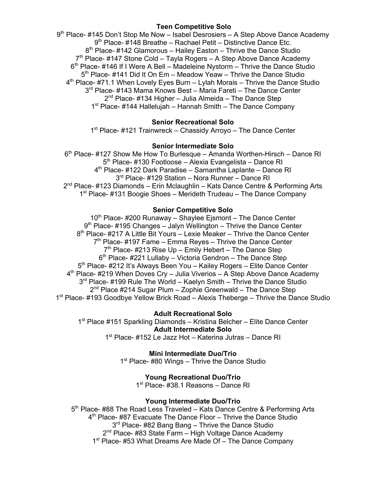## **Teen Competitive Solo**

9th Place- #145 Don't Stop Me Now – Isabel Desrosiers – A Step Above Dance Academy 9<sup>th</sup> Place- #148 Breathe – Rachael Petit – Distinctive Dance Etc.  $8<sup>th</sup>$  Place- #142 Glamorous – Hailey Easton – Thrive the Dance Studio  $7<sup>th</sup>$  Place- #147 Stone Cold – Tayla Rogers – A Step Above Dance Academy  $6<sup>th</sup>$  Place- #146 If I Were A Bell – Madeleine Nystorm – Thrive the Dance Studio 5<sup>th</sup> Place- #141 Did It On Em – Meadow Yeaw – Thrive the Dance Studio  $4<sup>th</sup>$  Place- #71.1 When Lovely Eyes Burn – Lylah Morais – Thrive the Dance Studio 3<sup>rd</sup> Place- #143 Mama Knows Best – Maria Fareti – The Dance Center  $2<sup>nd</sup>$  Place- #134 Higher – Julia Almeida – The Dance Step  $1<sup>st</sup>$  Place- #144 Hallelujah – Hannah Smith – The Dance Company

# **Senior Recreational Solo**

1<sup>st</sup> Place- #121 Trainwreck – Chassidy Arroyo – The Dance Center

## **Senior Intermediate Solo**

 $6<sup>th</sup>$  Place- #127 Show Me How To Burlesque – Amanda Worthen-Hirsch – Dance RI 5<sup>th</sup> Place- #130 Footloose – Alexia Evangelista – Dance RI 4th Place- #122 Dark Paradise – Samantha Laplante – Dance RI 3<sup>rd</sup> Place- #129 Station – Nora Runner – Dance RI 2<sup>nd</sup> Place- #123 Diamonds – Erin Mclaughlin – Kats Dance Centre & Performing Arts 1<sup>st</sup> Place- #131 Boogie Shoes – Merideth Trudeau – The Dance Company

# **Senior Competitive Solo**

10<sup>th</sup> Place- #200 Runaway – Shaylee Ejsmont – The Dance Center  $9<sup>th</sup>$  Place- #195 Changes – Jalyn Wellington – Thrive the Dance Center 8<sup>th</sup> Place- #217 A Little Bit Yours – Lexie Meaker – Thrive the Dance Center  $7<sup>th</sup>$  Place- #197 Fame – Emma Reyes – Thrive the Dance Center  $7<sup>th</sup>$  Place- #213 Rise Up – Emily Hebert – The Dance Step  $6<sup>th</sup>$  Place- #221 Lullaby – Victoria Gendron – The Dance Step 5<sup>th</sup> Place- #212 It's Always Been You – Kailey Rogers – Elite Dance Center  $4<sup>th</sup>$  Place- #219 When Doves Cry – Julia Viverios – A Step Above Dance Academy 3<sup>rd</sup> Place- #199 Rule The World – Kaelyn Smith – Thrive the Dance Studio  $2<sup>nd</sup>$  Place #214 Sugar Plum – Zophie Greenwald – The Dance Step 1st Place- #193 Goodbye Yellow Brick Road – Alexis Theberge – Thrive the Dance Studio

**Adult Recreational Solo** 1<sup>st</sup> Place #151 Sparkling Diamonds – Kristina Belcher – Elite Dance Center **Adult Intermediate Solo** 1<sup>st</sup> Place- #152 Le Jazz Hot – Katerina Jutras – Dance RI

> **Mini Intermediate Duo/Trio**  $1<sup>st</sup>$  Place- #80 Wings – Thrive the Dance Studio

> > **Young Recreational Duo/Trio**

1st Place- #38.1 Reasons – Dance RI

# **Young Intermediate Duo/Trio**

5<sup>th</sup> Place- #88 The Road Less Traveled – Kats Dance Centre & Performing Arts 4<sup>th</sup> Place- #87 Evacuate The Dance Floor – Thrive the Dance Studio 3<sup>rd</sup> Place- #82 Bang Bang – Thrive the Dance Studio 2<sup>nd</sup> Place- #83 State Farm - High Voltage Dance Academy 1<sup>st</sup> Place- #53 What Dreams Are Made Of – The Dance Company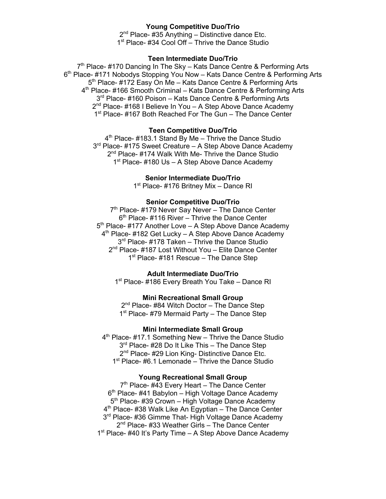## **Young Competitive Duo/Trio**

 $2^{nd}$  Place- #35 Anything – Distinctive dance Etc. 1<sup>st</sup> Place- #34 Cool Off – Thrive the Dance Studio

### **Teen Intermediate Duo/Trio**

7<sup>th</sup> Place- #170 Dancing In The Sky – Kats Dance Centre & Performing Arts 6<sup>th</sup> Place- #171 Nobodys Stopping You Now – Kats Dance Centre & Performing Arts 5<sup>th</sup> Place- #172 Easy On Me – Kats Dance Centre & Performing Arts 4th Place- #166 Smooth Criminal – Kats Dance Centre & Performing Arts 3<sup>rd</sup> Place- #160 Poison – Kats Dance Centre & Performing Arts  $2<sup>nd</sup>$  Place- #168 I Believe In You – A Step Above Dance Academy 1<sup>st</sup> Place- #167 Both Reached For The Gun – The Dance Center

#### **Teen Competitive Duo/Trio**

 $4<sup>th</sup>$  Place- #183.1 Stand By Me – Thrive the Dance Studio 3<sup>rd</sup> Place- #175 Sweet Creature – A Step Above Dance Academy 2<sup>nd</sup> Place- #174 Walk With Me- Thrive the Dance Studio 1<sup>st</sup> Place- #180 Us – A Step Above Dance Academy

#### **Senior Intermediate Duo/Trio**

1<sup>st</sup> Place- #176 Britney Mix – Dance RI

# **Senior Competitive Duo/Trio**

 $7<sup>th</sup>$  Place- #179 Never Say Never – The Dance Center  $6<sup>th</sup>$  Place- #116 River – Thrive the Dance Center 5<sup>th</sup> Place- #177 Another Love – A Step Above Dance Academy  $4<sup>th</sup>$  Place- #182 Get Lucky – A Step Above Dance Academy 3<sup>rd</sup> Place- #178 Taken – Thrive the Dance Studio 2<sup>nd</sup> Place- #187 Lost Without You - Elite Dance Center 1<sup>st</sup> Place- #181 Rescue – The Dance Step

#### **Adult Intermediate Duo/Trio**

1<sup>st</sup> Place- #186 Every Breath You Take – Dance RI

## **Mini Recreational Small Group**

2<sup>nd</sup> Place- #84 Witch Doctor – The Dance Step  $1<sup>st</sup>$  Place- #79 Mermaid Party – The Dance Step

# **Mini Intermediate Small Group**

4<sup>th</sup> Place- #17.1 Something New – Thrive the Dance Studio 3<sup>rd</sup> Place- #28 Do It Like This – The Dance Step 2<sup>nd</sup> Place- #29 Lion King- Distinctive Dance Etc.  $1<sup>st</sup>$  Place- #6.1 Lemonade – Thrive the Dance Studio

## **Young Recreational Small Group**

 $7<sup>th</sup>$  Place- #43 Every Heart – The Dance Center  $6<sup>th</sup>$  Place- #41 Babylon – High Voltage Dance Academy 5<sup>th</sup> Place- #39 Crown – High Voltage Dance Academy 4<sup>th</sup> Place- #38 Walk Like An Egyptian – The Dance Center 3<sup>rd</sup> Place- #36 Gimme That- High Voltage Dance Academy 2<sup>nd</sup> Place- #33 Weather Girls – The Dance Center  $1<sup>st</sup>$  Place- #40 It's Party Time – A Step Above Dance Academy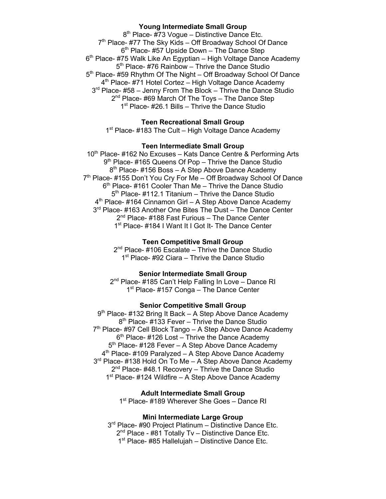## **Young Intermediate Small Group**

 $8<sup>th</sup>$  Place- #73 Voque – Distinctive Dance Etc. 7<sup>th</sup> Place- #77 The Sky Kids – Off Broadway School Of Dance  $6<sup>th</sup>$  Place- #57 Upside Down – The Dance Step  $6<sup>th</sup>$  Place- #75 Walk Like An Egyptian – High Voltage Dance Academy  $5<sup>th</sup>$  Place- #76 Rainbow – Thrive the Dance Studio 5<sup>th</sup> Place- #59 Rhythm Of The Night – Off Broadway School Of Dance 4<sup>th</sup> Place- #71 Hotel Cortez – High Voltage Dance Academy 3rd Place- #58 – Jenny From The Block – Thrive the Dance Studio 2<sup>nd</sup> Place- #69 March Of The Toys – The Dance Step 1<sup>st</sup> Place- #26.1 Bills – Thrive the Dance Studio

# **Teen Recreational Small Group**

 $1<sup>st</sup>$  Place- #183 The Cult – High Voltage Dance Academy

#### **Teen Intermediate Small Group**

10<sup>th</sup> Place- #162 No Excuses – Kats Dance Centre & Performing Arts 9<sup>th</sup> Place- #165 Queens Of Pop – Thrive the Dance Studio 8<sup>th</sup> Place- #156 Boss – A Step Above Dance Academy 7<sup>th</sup> Place- #155 Don't You Cry For Me - Off Broadway School Of Dance  $6<sup>th</sup>$  Place- #161 Cooler Than Me – Thrive the Dance Studio  $5<sup>th</sup>$  Place- #112.1 Titanium – Thrive the Dance Studio  $4<sup>th</sup>$  Place- #164 Cinnamon Girl – A Step Above Dance Academy 3<sup>rd</sup> Place- #163 Another One Bites The Dust - The Dance Center 2<sup>nd</sup> Place- #188 Fast Furious – The Dance Center 1<sup>st</sup> Place- #184 I Want It I Got It- The Dance Center

#### **Teen Competitive Small Group**

 $2<sup>nd</sup>$  Place- #106 Escalate – Thrive the Dance Studio  $1<sup>st</sup>$  Place- #92 Ciara – Thrive the Dance Studio

### **Senior Intermediate Small Group**

2<sup>nd</sup> Place- #185 Can't Help Falling In Love – Dance RI  $1<sup>st</sup>$  Place- #157 Conga – The Dance Center

#### **Senior Competitive Small Group**

 $9<sup>th</sup>$  Place- #132 Bring It Back – A Step Above Dance Academy  $8<sup>th</sup>$  Place- #133 Fever – Thrive the Dance Studio 7<sup>th</sup> Place- #97 Cell Block Tango – A Step Above Dance Academy  $6<sup>th</sup>$  Place- #126 Lost – Thrive the Dance Academy 5<sup>th</sup> Place- #128 Fever – A Step Above Dance Academy  $4<sup>th</sup>$  Place- #109 Paralyzed – A Step Above Dance Academy 3<sup>rd</sup> Place- #138 Hold On To Me – A Step Above Dance Academy  $2<sup>nd</sup>$  Place- #48.1 Recovery – Thrive the Dance Studio 1<sup>st</sup> Place- #124 Wildfire – A Step Above Dance Academy

**Adult Intermediate Small Group**

1<sup>st</sup> Place- #189 Wherever She Goes – Dance RI

### **Mini Intermediate Large Group**

3<sup>rd</sup> Place- #90 Project Platinum – Distinctive Dance Etc. 2<sup>nd</sup> Place - #81 Totally Tv - Distinctive Dance Etc. 1<sup>st</sup> Place- #85 Hallelujah – Distinctive Dance Etc.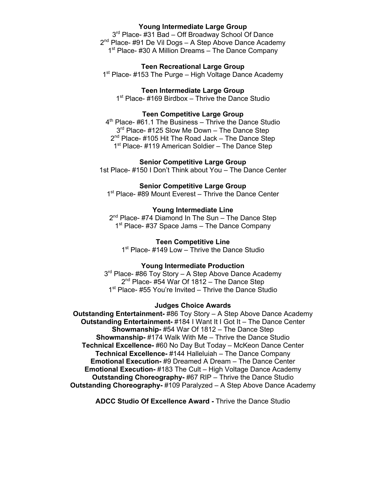### **Young Intermediate Large Group**

3<sup>rd</sup> Place- #31 Bad – Off Broadway School Of Dance  $2<sup>nd</sup>$  Place- #91 De Vil Dogs – A Step Above Dance Academy 1<sup>st</sup> Place- #30 A Million Dreams – The Dance Company

**Teen Recreational Large Group**

 $1<sup>st</sup>$  Place- #153 The Purge – High Voltage Dance Academy

**Teen Intermediate Large Group** 1<sup>st</sup> Place- #169 Birdbox – Thrive the Dance Studio

### **Teen Competitive Large Group**

 $4<sup>th</sup>$  Place- #61.1 The Business – Thrive the Dance Studio 3<sup>rd</sup> Place- #125 Slow Me Down – The Dance Step  $2^{nd}$  Place- #105 Hit The Road Jack – The Dance Step 1<sup>st</sup> Place- #119 American Soldier – The Dance Step

**Senior Competitive Large Group**

1st Place- #150 I Don't Think about You – The Dance Center

## **Senior Competitive Large Group**

1<sup>st</sup> Place- #89 Mount Everest – Thrive the Dance Center

### **Young Intermediate Line**

 $2^{nd}$  Place- #74 Diamond In The Sun – The Dance Step 1<sup>st</sup> Place- #37 Space Jams - The Dance Company

**Teen Competitive Line**

1<sup>st</sup> Place- #149 Low – Thrive the Dance Studio

#### **Young Intermediate Production**

3<sup>rd</sup> Place- #86 Toy Story – A Step Above Dance Academy 2<sup>nd</sup> Place- #54 War Of 1812 – The Dance Step 1<sup>st</sup> Place- #55 You're Invited – Thrive the Dance Studio

#### **Judges Choice Awards**

**Outstanding Entertainment-** #86 Toy Story – A Step Above Dance Academy **Outstanding Entertainment-** #184 I Want It I Got It – The Dance Center **Showmanship-** #54 War Of 1812 – The Dance Step **Showmanship-** #174 Walk With Me – Thrive the Dance Studio **Technical Excellence-** #60 No Day But Today – McKeon Dance Center **Technical Excellence-** #144 Halleluiah – The Dance Company **Emotional Execution-** #9 Dreamed A Dream – The Dance Center **Emotional Execution-** #183 The Cult – High Voltage Dance Academy **Outstanding Choreography-** #67 RIP – Thrive the Dance Studio **Outstanding Choreography-** #109 Paralyzed – A Step Above Dance Academy

**ADCC Studio Of Excellence Award -** Thrive the Dance Studio